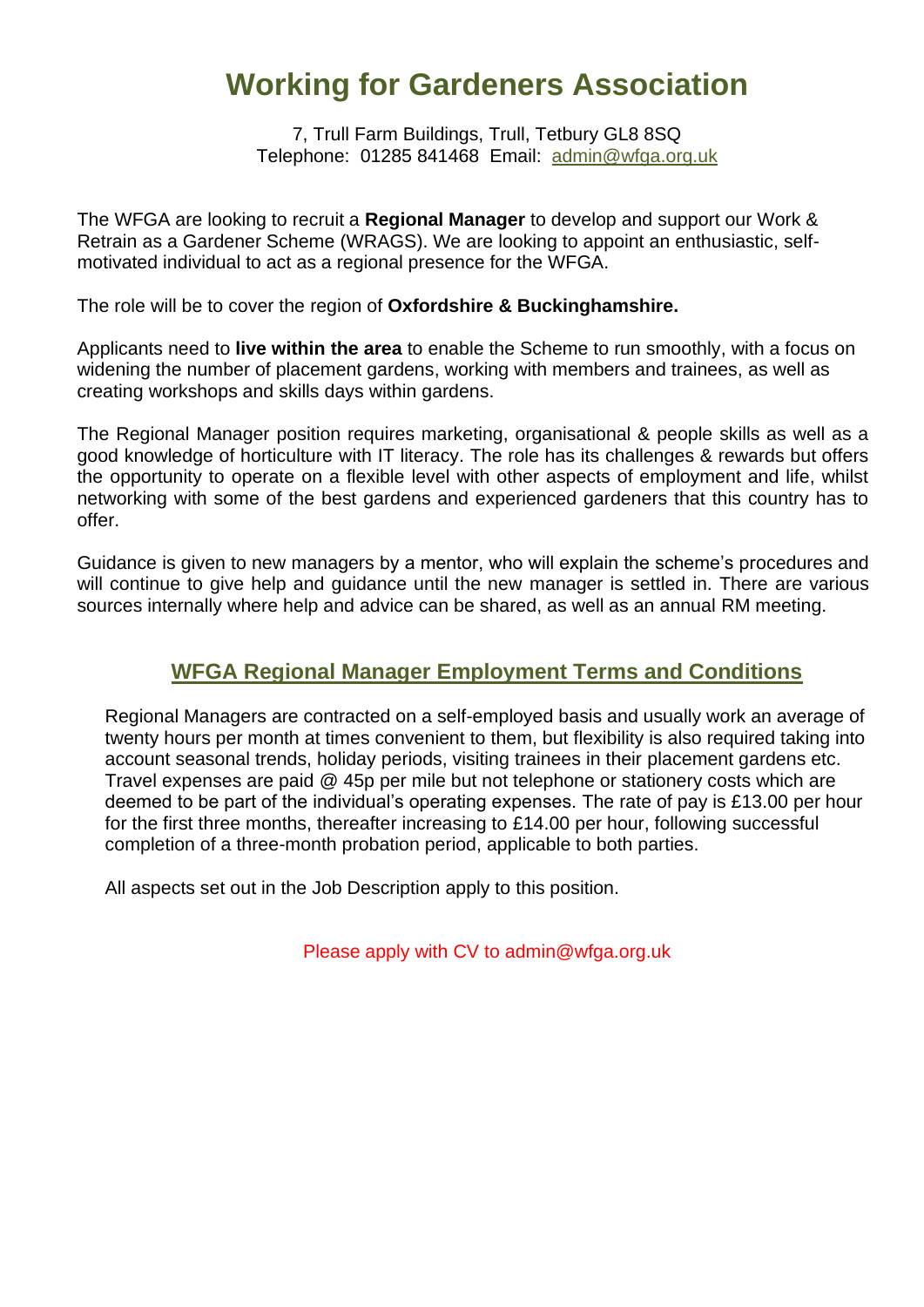# **Working for Gardeners Association**

7, Trull Farm Buildings, Trull, Tetbury GL8 8SQ Telephone: 01285 841468 Email: [admin@wfga.org.uk](about:blank)

The WFGA are looking to recruit a **Regional Manager** to develop and support our Work & Retrain as a Gardener Scheme (WRAGS). We are looking to appoint an enthusiastic, selfmotivated individual to act as a regional presence for the WFGA.

The role will be to cover the region of **Oxfordshire & Buckinghamshire.**

Applicants need to **live within the area** to enable the Scheme to run smoothly, with a focus on widening the number of placement gardens, working with members and trainees, as well as creating workshops and skills days within gardens.

The Regional Manager position requires marketing, organisational & people skills as well as a good knowledge of horticulture with IT literacy. The role has its challenges & rewards but offers the opportunity to operate on a flexible level with other aspects of employment and life, whilst networking with some of the best gardens and experienced gardeners that this country has to offer.

Guidance is given to new managers by a mentor, who will explain the scheme's procedures and will continue to give help and guidance until the new manager is settled in. There are various sources internally where help and advice can be shared, as well as an annual RM meeting.

### **WFGA Regional Manager Employment Terms and Conditions**

Regional Managers are contracted on a self-employed basis and usually work an average of twenty hours per month at times convenient to them, but flexibility is also required taking into account seasonal trends, holiday periods, visiting trainees in their placement gardens etc. Travel expenses are paid @ 45p per mile but not telephone or stationery costs which are deemed to be part of the individual's operating expenses. The rate of pay is £13.00 per hour for the first three months, thereafter increasing to £14.00 per hour, following successful completion of a three-month probation period, applicable to both parties.

All aspects set out in the Job Description apply to this position.

Please apply with CV to admin@wfga.org.uk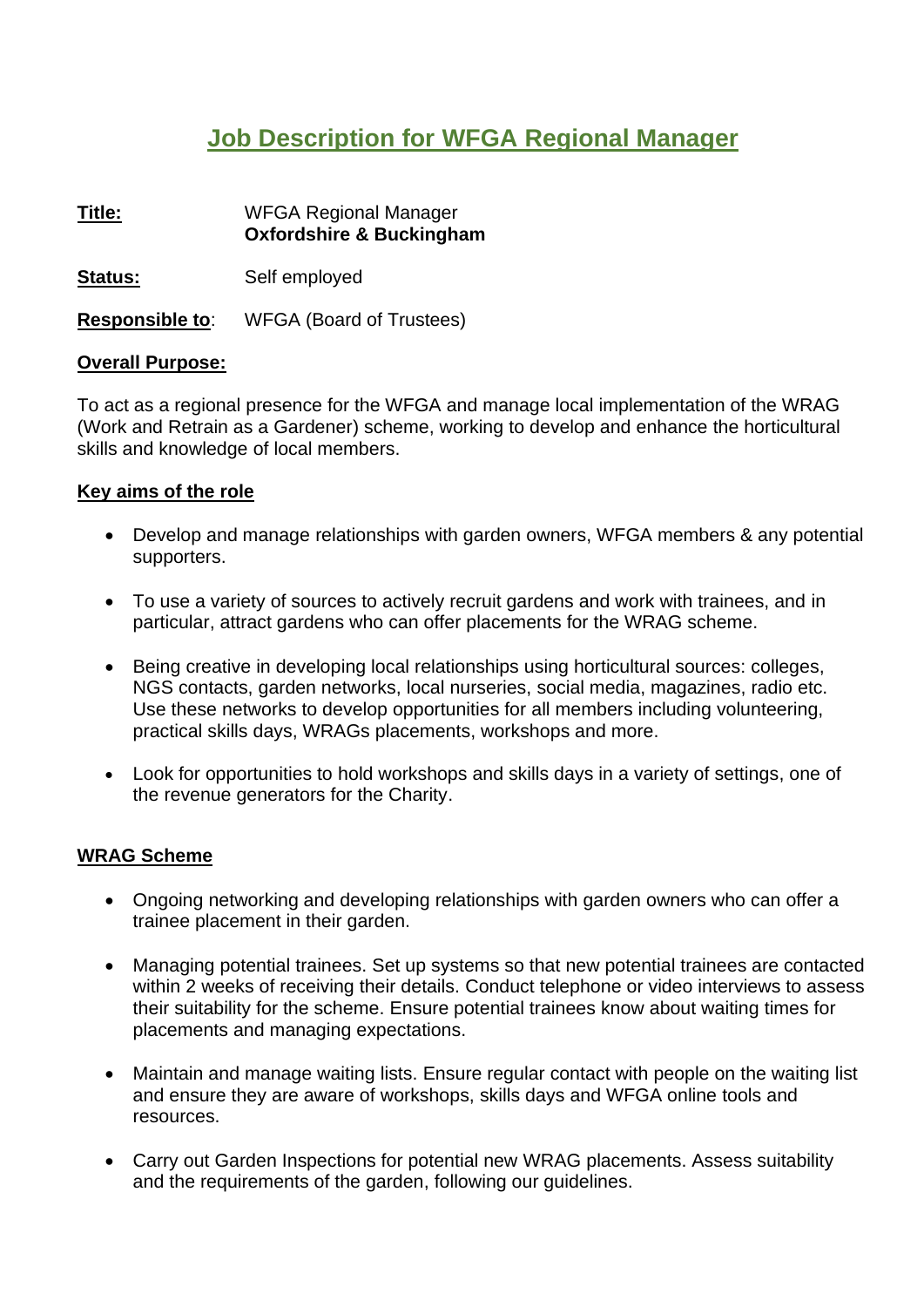### **Job Description for WFGA Regional Manager**

**Title:** WFGA Regional Manager **Oxfordshire & Buckingham Status:** Self employed **Responsible to**: WFGA (Board of Trustees)

#### **Overall Purpose:**

To act as a regional presence for the WFGA and manage local implementation of the WRAG (Work and Retrain as a Gardener) scheme, working to develop and enhance the horticultural skills and knowledge of local members.

#### **Key aims of the role**

- Develop and manage relationships with garden owners, WFGA members & any potential supporters.
- To use a variety of sources to actively recruit gardens and work with trainees, and in particular, attract gardens who can offer placements for the WRAG scheme.
- Being creative in developing local relationships using horticultural sources: colleges, NGS contacts, garden networks, local nurseries, social media, magazines, radio etc. Use these networks to develop opportunities for all members including volunteering, practical skills days, WRAGs placements, workshops and more.
- Look for opportunities to hold workshops and skills days in a variety of settings, one of the revenue generators for the Charity.

#### **WRAG Scheme**

- Ongoing networking and developing relationships with garden owners who can offer a trainee placement in their garden.
- Managing potential trainees. Set up systems so that new potential trainees are contacted within 2 weeks of receiving their details. Conduct telephone or video interviews to assess their suitability for the scheme. Ensure potential trainees know about waiting times for placements and managing expectations.
- Maintain and manage waiting lists. Ensure regular contact with people on the waiting list and ensure they are aware of workshops, skills days and WFGA online tools and resources.
- Carry out Garden Inspections for potential new WRAG placements. Assess suitability and the requirements of the garden, following our guidelines.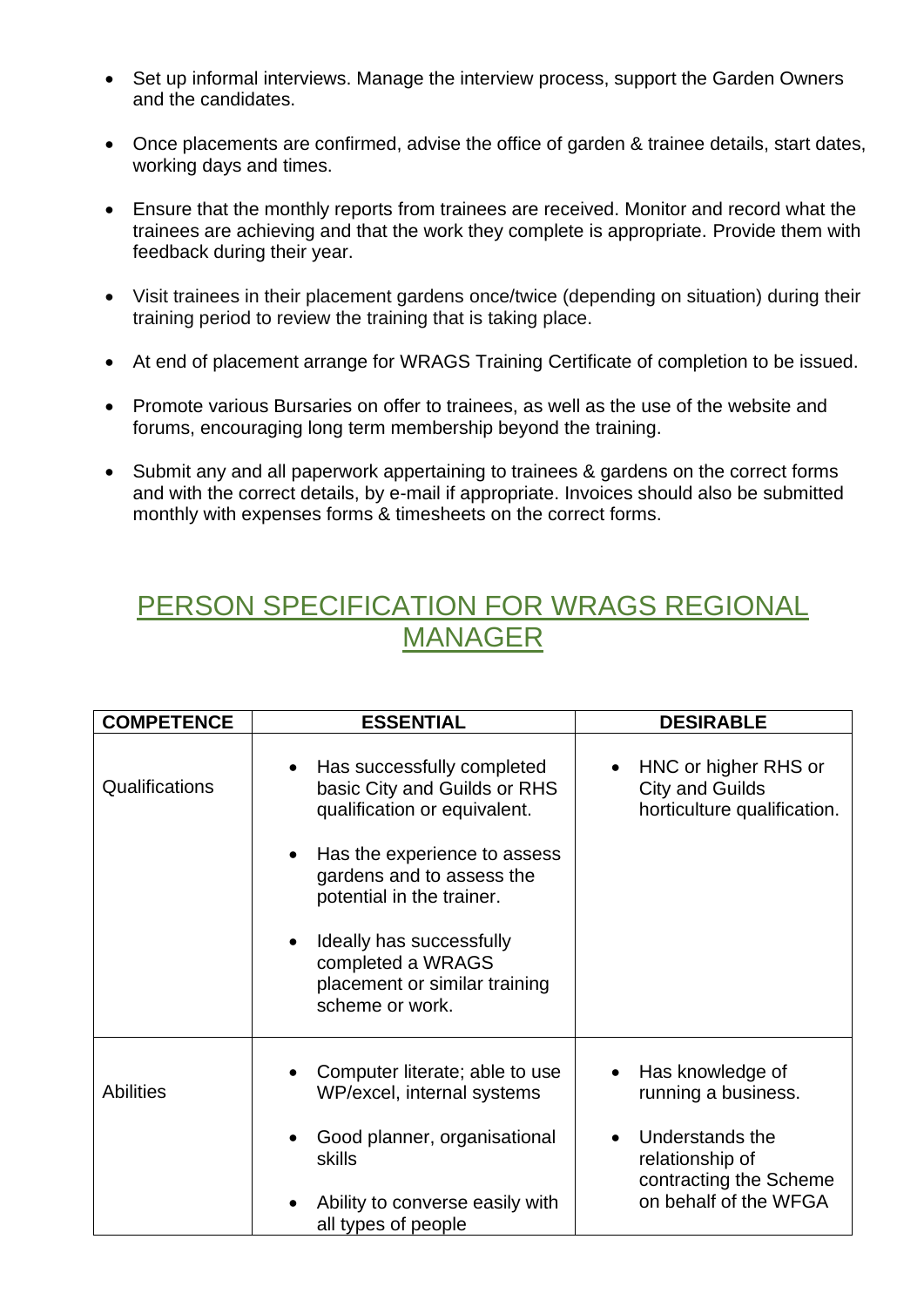- Set up informal interviews. Manage the interview process, support the Garden Owners and the candidates.
- Once placements are confirmed, advise the office of garden & trainee details, start dates, working days and times.
- Ensure that the monthly reports from trainees are received. Monitor and record what the trainees are achieving and that the work they complete is appropriate. Provide them with feedback during their year.
- Visit trainees in their placement gardens once/twice (depending on situation) during their training period to review the training that is taking place.
- At end of placement arrange for WRAGS Training Certificate of completion to be issued.
- Promote various Bursaries on offer to trainees, as well as the use of the website and forums, encouraging long term membership beyond the training.
- Submit any and all paperwork appertaining to trainees & gardens on the correct forms and with the correct details, by e-mail if appropriate. Invoices should also be submitted monthly with expenses forms & timesheets on the correct forms.

## PERSON SPECIFICATION FOR WRAGS REGIONAL MANAGER

| <b>COMPETENCE</b> | <b>ESSENTIAL</b>                                                                                                                                                                                                                                                                                                    | <b>DESIRABLE</b>                                                                                                                 |
|-------------------|---------------------------------------------------------------------------------------------------------------------------------------------------------------------------------------------------------------------------------------------------------------------------------------------------------------------|----------------------------------------------------------------------------------------------------------------------------------|
| Qualifications    | Has successfully completed<br>$\bullet$<br>basic City and Guilds or RHS<br>qualification or equivalent.<br>Has the experience to assess<br>$\bullet$<br>gardens and to assess the<br>potential in the trainer.<br>Ideally has successfully<br>completed a WRAGS<br>placement or similar training<br>scheme or work. | HNC or higher RHS or<br>$\bullet$<br><b>City and Guilds</b><br>horticulture qualification.                                       |
| <b>Abilities</b>  | Computer literate; able to use<br>WP/excel, internal systems<br>Good planner, organisational<br>skills<br>Ability to converse easily with<br>all types of people                                                                                                                                                    | Has knowledge of<br>running a business.<br>Understands the<br>relationship of<br>contracting the Scheme<br>on behalf of the WFGA |